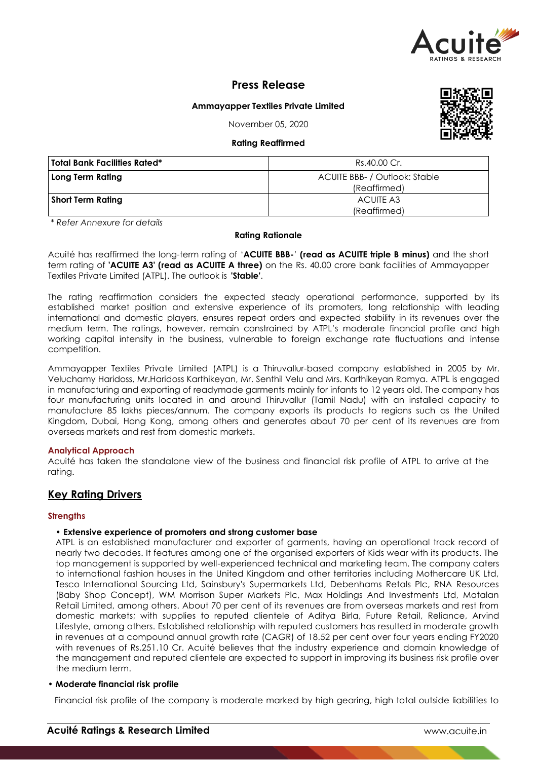

# **Press Release**

## **Ammayapper Textiles Private Limited**

November 05, 2020

## **Rating Reaffirmed**

| $$ , $$                      |                                               |  |  |
|------------------------------|-----------------------------------------------|--|--|
| Total Bank Facilities Rated* | Rs.40.00 Cr.                                  |  |  |
| Long Term Rating             | ACUITE BBB- / Outlook: Stable<br>(Reaffirmed) |  |  |
| Short Term Rating            | ACUITE A3<br>(Reaffirmed)                     |  |  |

*\* Refer Annexure for details*

## **Rating Rationale**

Acuité has reaffirmed the long-term rating of '**ACUITE BBB-**' **(read as ACUITE triple B minus)** and the short term rating of **'ACUITE A3' (read as ACUITE A three)** on the Rs. 40.00 crore bank facilities of Ammayapper Textiles Private Limited (ATPL). The outlook is **'Stable'**.

The rating reaffirmation considers the expected steady operational performance, supported by its established market position and extensive experience of its promoters, long relationship with leading international and domestic players, ensures repeat orders and expected stability in its revenues over the medium term. The ratings, however, remain constrained by ATPL's moderate financial profile and high working capital intensity in the business, vulnerable to foreign exchange rate fluctuations and intense competition.

Ammayapper Textiles Private Limited (ATPL) is a Thiruvallur-based company established in 2005 by Mr. Veluchamy Haridoss, Mr.Haridoss Karthikeyan, Mr. Senthil Velu and Mrs. Karthikeyan Ramya. ATPL is engaged in manufacturing and exporting of readymade garments mainly for infants to 12 years old. The company has four manufacturing units located in and around Thiruvallur (Tamil Nadu) with an installed capacity to manufacture 85 lakhs pieces/annum. The company exports its products to regions such as the United Kingdom, Dubai, Hong Kong, among others and generates about 70 per cent of its revenues are from overseas markets and rest from domestic markets.

## **Analytical Approach**

Acuité has taken the standalone view of the business and financial risk profile of ATPL to arrive at the rating.

# **Key Rating Drivers**

## **Strengths**

## • **Extensive experience of promoters and strong customer base**

ATPL is an established manufacturer and exporter of garments, having an operational track record of nearly two decades. It features among one of the organised exporters of Kids wear with its products. The top management is supported by well-experienced technical and marketing team. The company caters to international fashion houses in the United Kingdom and other territories including Mothercare UK Ltd, Tesco International Sourcing Ltd, Sainsbury's Supermarkets Ltd, Debenhams Retals Plc, RNA Resources (Baby Shop Concept), WM Morrison Super Markets Plc, Max Holdings And Investments Ltd, Matalan Retail Limited, among others. About 70 per cent of its revenues are from overseas markets and rest from domestic markets; with supplies to reputed clientele of Aditya Birla, Future Retail, Reliance, Arvind Lifestyle, among others. Established relationship with reputed customers has resulted in moderate growth in revenues at a compound annual growth rate (CAGR) of 18.52 per cent over four years ending FY2020 with revenues of Rs.251.10 Cr. Acuité believes that the industry experience and domain knowledge of the management and reputed clientele are expected to support in improving its business risk profile over the medium term.

## • **Moderate financial risk profile**

Financial risk profile of the company is moderate marked by high gearing, high total outside liabilities to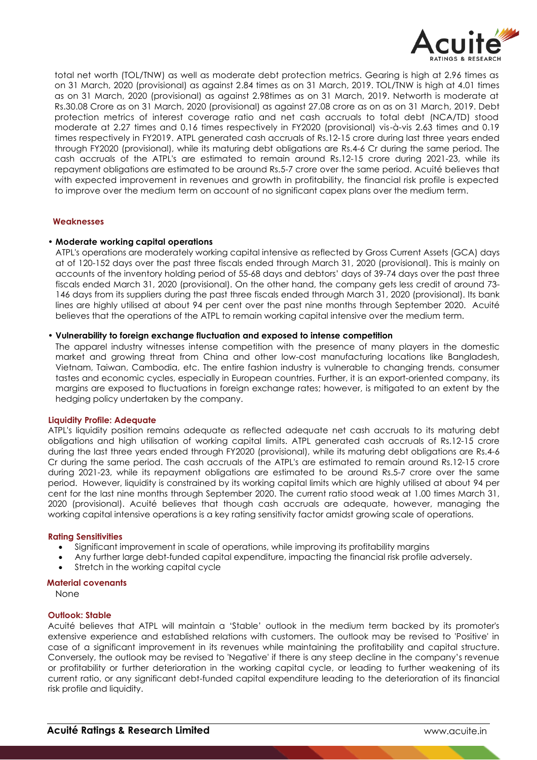

total net worth (TOL/TNW) as well as moderate debt protection metrics. Gearing is high at 2.96 times as on 31 March, 2020 (provisional) as against 2.84 times as on 31 March, 2019. TOL/TNW is high at 4.01 times as on 31 March, 2020 (provisional) as against 2.98times as on 31 March, 2019. Networth is moderate at Rs.30.08 Crore as on 31 March, 2020 (provisional) as against 27.08 crore as on as on 31 March, 2019. Debt protection metrics of interest coverage ratio and net cash accruals to total debt (NCA/TD) stood moderate at 2.27 times and 0.16 times respectively in FY2020 (provisional) vis-à-vis 2.63 times and 0.19 times respectively in FY2019. ATPL generated cash accruals of Rs.12-15 crore during last three years ended through FY2020 (provisional), while its maturing debt obligations are Rs.4-6 Cr during the same period. The cash accruals of the ATPL's are estimated to remain around Rs.12-15 crore during 2021-23, while its repayment obligations are estimated to be around Rs.5-7 crore over the same period. Acuité believes that with expected improvement in revenues and growth in profitability, the financial risk profile is expected to improve over the medium term on account of no significant capex plans over the medium term.

## **Weaknesses**

#### • **Moderate working capital operations**

ATPL's operations are moderately working capital intensive as reflected by Gross Current Assets (GCA) days at of 120-152 days over the past three fiscals ended through March 31, 2020 (provisional). This is mainly on accounts of the inventory holding period of 55-68 days and debtors' days of 39-74 days over the past three fiscals ended March 31, 2020 (provisional). On the other hand, the company gets less credit of around 73- 146 days from its suppliers during the past three fiscals ended through March 31, 2020 (provisional). Its bank lines are highly utilised at about 94 per cent over the past nine months through September 2020. Acuité believes that the operations of the ATPL to remain working capital intensive over the medium term.

#### • **Vulnerability to foreign exchange fluctuation and exposed to intense competition**

The apparel industry witnesses intense competition with the presence of many players in the domestic market and growing threat from China and other low-cost manufacturing locations like Bangladesh, Vietnam, Taiwan, Cambodia, etc. The entire fashion industry is vulnerable to changing trends, consumer tastes and economic cycles, especially in European countries. Further, it is an export-oriented company, its margins are exposed to fluctuations in foreign exchange rates; however, is mitigated to an extent by the hedging policy undertaken by the company.

#### **Liquidity Profile: Adequate**

ATPL's liquidity position remains adequate as reflected adequate net cash accruals to its maturing debt obligations and high utilisation of working capital limits. ATPL generated cash accruals of Rs.12-15 crore during the last three years ended through FY2020 (provisional), while its maturing debt obligations are Rs.4-6 Cr during the same period. The cash accruals of the ATPL's are estimated to remain around Rs.12-15 crore during 2021-23, while its repayment obligations are estimated to be around Rs.5-7 crore over the same period. However, liquidity is constrained by its working capital limits which are highly utilised at about 94 per cent for the last nine months through September 2020. The current ratio stood weak at 1.00 times March 31, 2020 (provisional). Acuité believes that though cash accruals are adequate, however, managing the working capital intensive operations is a key rating sensitivity factor amidst growing scale of operations.

#### **Rating Sensitivities**

- Significant improvement in scale of operations, while improving its profitability margins
- Any further large debt-funded capital expenditure, impacting the financial risk profile adversely.
- Stretch in the working capital cycle

## **Material covenants**

None

# **Outlook: Stable**

Acuité believes that ATPL will maintain a 'Stable' outlook in the medium term backed by its promoter's extensive experience and established relations with customers. The outlook may be revised to 'Positive' in case of a significant improvement in its revenues while maintaining the profitability and capital structure. Conversely, the outlook may be revised to 'Negative' if there is any steep decline in the company's revenue or profitability or further deterioration in the working capital cycle, or leading to further weakening of its current ratio, or any significant debt-funded capital expenditure leading to the deterioration of its financial risk profile and liquidity.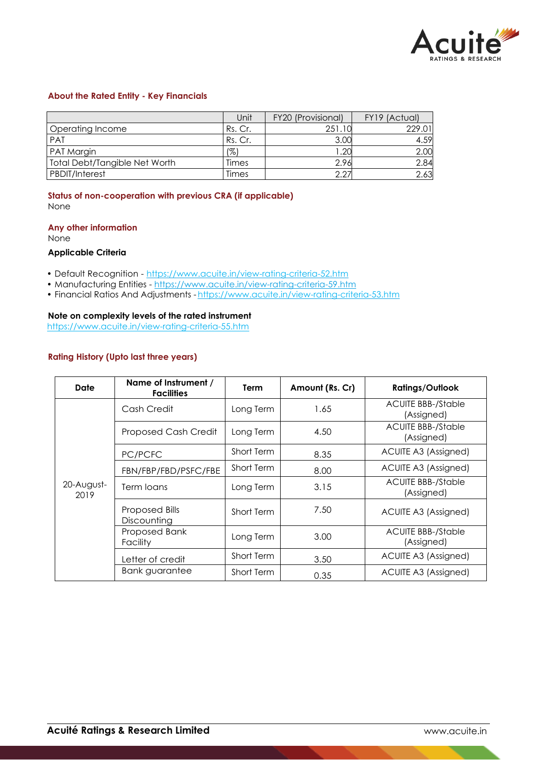

## **About the Rated Entity - Key Financials**

|                               | Unit    | FY20 (Provisional) | FY19 (Actual) |
|-------------------------------|---------|--------------------|---------------|
| Operating Income              | Rs. Cr. | 251.10             | 229.01        |
| <b>PAT</b>                    | Rs. Cr. | 3.00               | 4.59          |
| PAT Margin                    | (%)     | .20                | 2.00          |
| Total Debt/Tangible Net Worth | Times   | 2.96               | 2.84          |
| <b>PBDIT/Interest</b>         | Times   | 2.27               | 2.63          |

**Status of non-cooperation with previous CRA (if applicable)** None

## **Any other information**

None

### **Applicable Criteria**

- Default Recognition https://www.acuite.in/view-rating-criteria-52.htm
- Manufacturing Entities https://www.acuite.in/view-rating-criteria-59.htm
- Financial Ratios And Adjustments https://www.acuite.in/view-rating-criteria-53.htm

# **Note on complexity levels of the rated instrument**

https://www.acuite.in/view-rating-criteria-55.htm

## **Rating History (Upto last three years)**

| Date               | Name of Instrument /<br><b>Facilities</b> | Term              | Amount (Rs. Cr) | <b>Ratings/Outlook</b>                  |
|--------------------|-------------------------------------------|-------------------|-----------------|-----------------------------------------|
| 20-August-<br>2019 | Cash Credit                               | Long Term         | 1.65            | <b>ACUITE BBB-/Stable</b><br>(Assigned) |
|                    | <b>Proposed Cash Credit</b>               | Long Term         | 4.50            | <b>ACUITE BBB-/Stable</b><br>(Assigned) |
|                    | PC/PCFC                                   | Short Term        | 8.35            | ACUITE A3 (Assigned)                    |
|                    | FBN/FBP/FBD/PSFC/FBE                      | Short Term        | 8.00            | ACUITE A3 (Assigned)                    |
|                    | Term loans                                | Long Term         | 3.15            | <b>ACUITE BBB-/Stable</b><br>(Assigned) |
|                    | Proposed Bills<br>Discounting             | Short Term        | 7.50            | ACUITE A3 (Assigned)                    |
|                    | Proposed Bank<br>Facility                 | Long Term         | 3.00            | <b>ACUITE BBB-/Stable</b><br>(Assigned) |
|                    | Letter of credit                          | <b>Short Term</b> | 3.50            | ACUITE A3 (Assigned)                    |
|                    | Bank guarantee                            | Short Term        | 0.35            | ACUITE A3 (Assigned)                    |